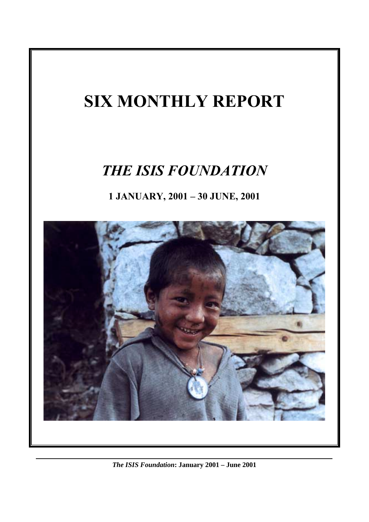# **SIX MONTHLY REPORT**

## *THE ISIS FOUNDATION*

**1 JANUARY, 2001 – 30 JUNE, 2001**



*The ISIS Foundation***: January 2001 – June 2001**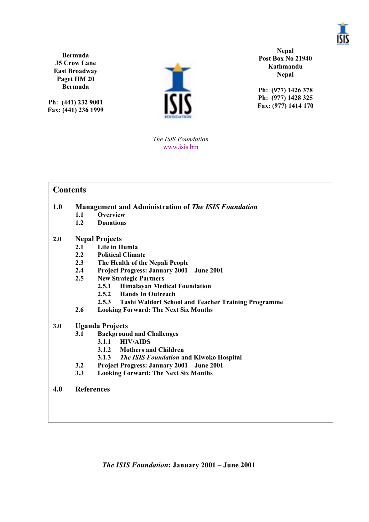

**Bermuda 35 Crow Lane East Broadway Paget HM 20 Bermuda**

**Ph: (441) 232 9001 Fax: (441) 236 1999**



**Nepal Post Box No 21940 Kathmandu Nepal**

**Ph: (977) 1426 378 Ph: (977) 1428 325 Fax: (977) 1414 170**

*The ISIS Foundation* www.isis.bm

### **Contents**

#### **1.0 Management and Administration of** *The ISIS Foundation*<br>1.1 **OVERVIEW 1.1 Overview**

- **1.2 Donations**
- 

#### **2.0 Nepal Projects**

- **2.1 Life in Humla**
- **2.2 Political Climate**
- **2.3 The Health of the Nepali People**
- **2.4 Project Progress: January 2001 June 2001**
- **2.5 New Strategic Partners**
	- **2.5.1 Himalayan Medical Foundation**
	- **2.5.2 Hands In Outreach**
	- **2.5.3 Tashi Waldorf School and Teacher Training Programme**
- **2.6 Looking Forward: The Next Six Months**

#### **3.0 Uganda Projects**

- **3.1 Background and Challenges**
	- **3.1.1 HIV/AIDS**
	- **3.1.2 Mothers and Children**
	- **3.1.3** *The ISIS Foundation* **and Kiwoko Hospital**
- **3.2 Project Progress: January 2001 June 2001**
- **3.3 Looking Forward: The Next Six Months**
- **4.0 References**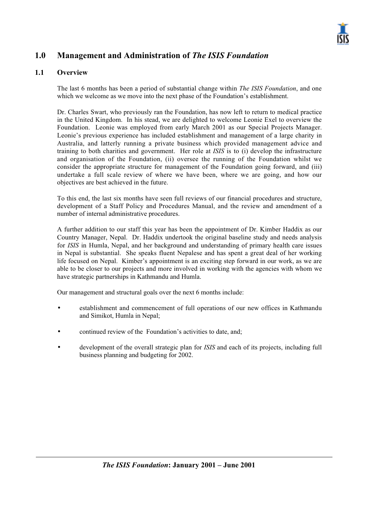

## **1.0 Management and Administration of** *The ISIS Foundation*

#### **1.1 Overview**

The last 6 months has been a period of substantial change within *The ISIS Foundation*, and one which we welcome as we move into the next phase of the Foundation's establishment.

Dr. Charles Swart, who previously ran the Foundation, has now left to return to medical practice in the United Kingdom. In his stead, we are delighted to welcome Leonie Exel to overview the Foundation. Leonie was employed from early March 2001 as our Special Projects Manager. Leonie's previous experience has included establishment and management of a large charity in Australia, and latterly running a private business which provided management advice and training to both charities and government. Her role at *ISIS* is to (i) develop the infrastructure and organisation of the Foundation, (ii) oversee the running of the Foundation whilst we consider the appropriate structure for management of the Foundation going forward, and (iii) undertake a full scale review of where we have been, where we are going, and how our objectives are best achieved in the future.

To this end, the last six months have seen full reviews of our financial procedures and structure, development of a Staff Policy and Procedures Manual, and the review and amendment of a number of internal administrative procedures.

A further addition to our staff this year has been the appointment of Dr. Kimber Haddix as our Country Manager, Nepal. Dr. Haddix undertook the original baseline study and needs analysis for *ISIS* in Humla, Nepal, and her background and understanding of primary health care issues in Nepal is substantial. She speaks fluent Nepalese and has spent a great deal of her working life focused on Nepal. Kimber's appointment is an exciting step forward in our work, as we are able to be closer to our projects and more involved in working with the agencies with whom we have strategic partnerships in Kathmandu and Humla.

Our management and structural goals over the next 6 months include:

- establishment and commencement of full operations of our new offices in Kathmandu and Simikot, Humla in Nepal;
- continued review of the Foundation's activities to date, and;
- development of the overall strategic plan for *ISIS* and each of its projects, including full business planning and budgeting for 2002.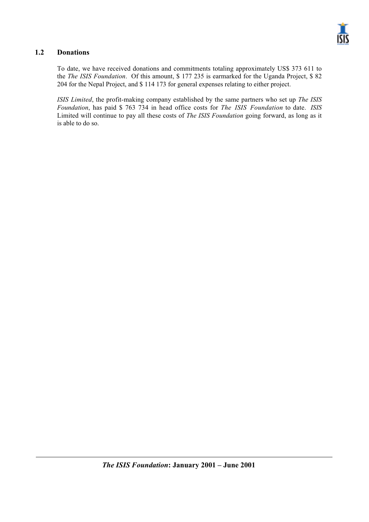

#### **1.2 Donations**

To date, we have received donations and commitments totaling approximately US\$ 373 611 to the *The ISIS Foundation*. Of this amount, \$ 177 235 is earmarked for the Uganda Project, \$ 82 204 for the Nepal Project, and \$ 114 173 for general expenses relating to either project.

*ISIS Limited*, the profit-making company established by the same partners who set up *The ISIS Foundation*, has paid \$ 763 734 in head office costs for *The ISIS Foundation* to date. *ISIS* Limited will continue to pay all these costs of *The ISIS Foundation* going forward, as long as it is able to do so.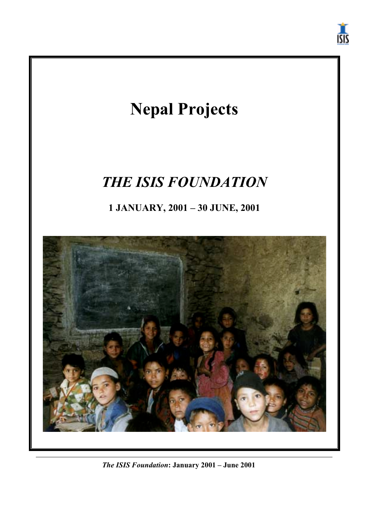



*The ISIS Foundation***: January 2001 – June 2001**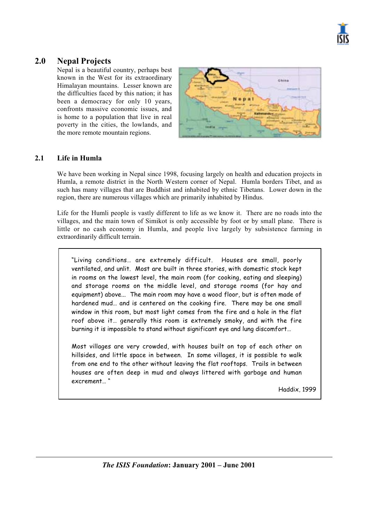

## **2.0 Nepal Projects**

Nepal is a beautiful country, perhaps best known in the West for its extraordinary Himalayan mountains. Lesser known are the difficulties faced by this nation; it has been a democracy for only 10 years, confronts massive economic issues, and is home to a population that live in real poverty in the cities, the lowlands, and the more remote mountain regions.



#### **2.1 Life in Humla**

We have been working in Nepal since 1998, focusing largely on health and education projects in Humla, a remote district in the North Western corner of Nepal. Humla borders Tibet, and as such has many villages that are Buddhist and inhabited by ethnic Tibetans. Lower down in the region, there are numerous villages which are primarily inhabited by Hindus.

Life for the Humli people is vastly different to life as we know it. There are no roads into the villages, and the main town of Simikot is only accessible by foot or by small plane. There is little or no cash economy in Humla, and people live largely by subsistence farming in extraordinarily difficult terrain.

"Living conditions… are extremely difficult. Houses are small, poorly ventilated, and unlit. Most are built in three stories, with domestic stock kept in rooms on the lowest level, the main room (for cooking, eating and sleeping) and storage rooms on the middle level, and storage rooms (for hay and equipment) above... The main room may have a wood floor, but is often made of hardened mud… and is centered on the cooking fire. There may be one small window in this room, but most light comes from the fire and a hole in the flat roof above it… generally this room is extremely smoky, and with the fire burning it is impossible to stand without significant eye and lung discomfort…

Most villages are very crowded, with houses built on top of each other on hillsides, and little space in between. In some villages, it is possible to walk from one end to the other without leaving the flat rooftops. Trails in between houses are often deep in mud and always littered with garbage and human excrement… "

Haddix, 1999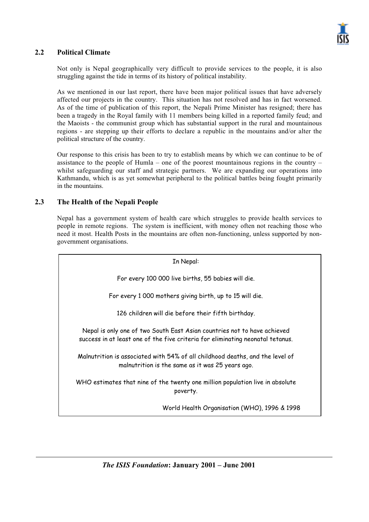

#### **2.2 Political Climate**

Not only is Nepal geographically very difficult to provide services to the people, it is also struggling against the tide in terms of its history of political instability.

As we mentioned in our last report, there have been major political issues that have adversely affected our projects in the country. This situation has not resolved and has in fact worsened. As of the time of publication of this report, the Nepali Prime Minister has resigned; there has been a tragedy in the Royal family with 11 members being killed in a reported family feud; and the Maoists - the communist group which has substantial support in the rural and mountainous regions - are stepping up their efforts to declare a republic in the mountains and/or alter the political structure of the country.

Our response to this crisis has been to try to establish means by which we can continue to be of assistance to the people of Humla – one of the poorest mountainous regions in the country – whilst safeguarding our staff and strategic partners. We are expanding our operations into Kathmandu, which is as yet somewhat peripheral to the political battles being fought primarily in the mountains.

#### **2.3 The Health of the Nepali People**

Nepal has a government system of health care which struggles to provide health services to people in remote regions. The system is inefficient, with money often not reaching those who need it most. Health Posts in the mountains are often non-functioning, unless supported by nongovernment organisations.

In Nepal: For every 100 000 live births, 55 babies will die. For every 1 000 mothers giving birth, up to 15 will die. 126 children will die before their fifth birthday. Nepal is only one of two South East Asian countries not to have achieved success in at least one of the five criteria for eliminating neonatal tetanus. Malnutrition is associated with 54% of all childhood deaths, and the level of malnutrition is the same as it was 25 years ago. WHO estimates that nine of the twenty one million population live in absolute poverty. World Health Organisation (WHO), 1996 & 1998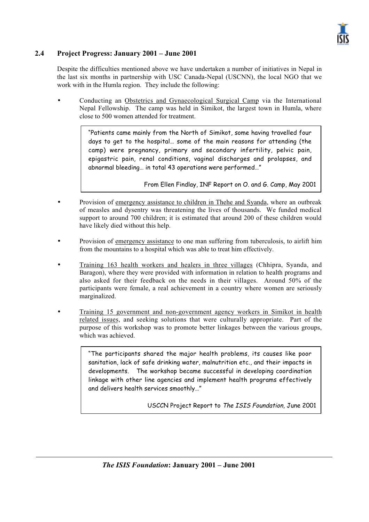

#### **2.4 Project Progress: January 2001 – June 2001**

Despite the difficulties mentioned above we have undertaken a number of initiatives in Nepal in the last six months in partnership with USC Canada-Nepal (USCNN), the local NGO that we work with in the Humla region. They include the following:

• Conducting an Obstetrics and Gynaecological Surgical Camp via the International Nepal Fellowship. The camp was held in Simikot, the largest town in Humla, where close to 500 women attended for treatment.

> "Patients came mainly from the North of Simikot, some having travelled four days to get to the hospital… some of the main reasons for attending (the camp) were pregnancy, primary and secondary infertility, pelvic pain, epigastric pain, renal conditions, vaginal discharges and prolapses, and abnormal bleeding… in total 43 operations were performed…"

> > From Ellen Findlay, INF Report on O. and G. Camp, May 2001

- Provision of emergency assistance to children in Thehe and Syanda, where an outbreak of measles and dysentry was threatening the lives of thousands. We funded medical support to around 700 children; it is estimated that around 200 of these children would have likely died without this help.
- Provision of emergency assistance to one man suffering from tuberculosis, to airlift him from the mountains to a hospital which was able to treat him effectively.
- Training 163 health workers and healers in three villages (Chhipra, Syanda, and Baragon), where they were provided with information in relation to health programs and also asked for their feedback on the needs in their villages. Around 50% of the participants were female, a real achievement in a country where women are seriously marginalized.
- Training 15 government and non-government agency workers in Simikot in health related issues, and seeking solutions that were culturally appropriate. Part of the purpose of this workshop was to promote better linkages between the various groups, which was achieved.

"The participants shared the major health problems, its causes like poor sanitation, lack of safe drinking water, malnutrition etc., and their impacts in developments. The workshop became successful in developing coordination linkage with other line agencies and implement health programs effectively and delivers health services smoothly…"

USCCN Project Report to The ISIS Foundation, June 2001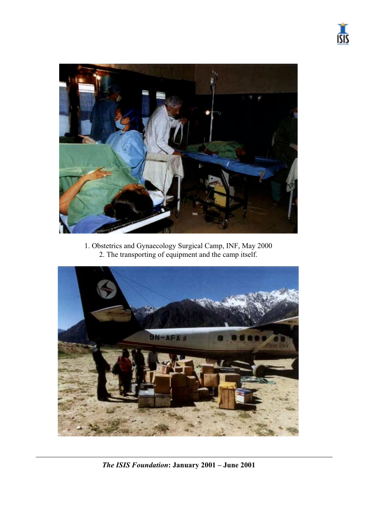



1. Obstetrics and Gynaecology Surgical Camp, INF, May 2000 2. The transporting of equipment and the camp itself.



*The ISIS Foundation***: January 2001 – June 2001**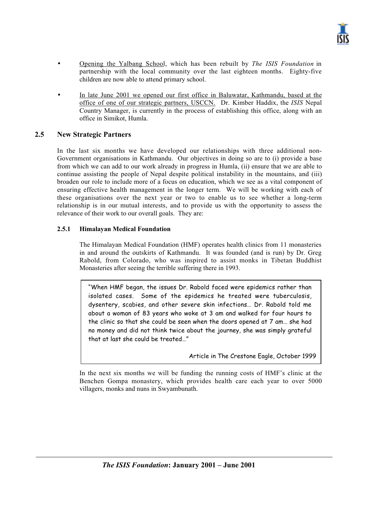- Opening the Yalbang School, which has been rebuilt by *The ISIS Foundation* in partnership with the local community over the last eighteen months. Eighty-five children are now able to attend primary school.
- In late June 2001 we opened our first office in Baluwatar, Kathmandu, based at the office of one of our strategic partners, USCCN. Dr. Kimber Haddix, the *ISIS* Nepal Country Manager, is currently in the process of establishing this office, along with an office in Simikot, Humla.

#### **2.5 New Strategic Partners**

In the last six months we have developed our relationships with three additional non-Government organisations in Kathmandu. Our objectives in doing so are to (i) provide a base from which we can add to our work already in progress in Humla, (ii) ensure that we are able to continue assisting the people of Nepal despite political instability in the mountains, and (iii) broaden our role to include more of a focus on education, which we see as a vital component of ensuring effective health management in the longer term. We will be working with each of these organisations over the next year or two to enable us to see whether a long-term relationship is in our mutual interests, and to provide us with the opportunity to assess the relevance of their work to our overall goals. They are:

#### **2.5.1 Himalayan Medical Foundation**

The Himalayan Medical Foundation (HMF) operates health clinics from 11 monasteries in and around the outskirts of Kathmandu. It was founded (and is run) by Dr. Greg Rabold, from Colorado, who was inspired to assist monks in Tibetan Buddhist Monasteries after seeing the terrible suffering there in 1993.

"When HMF began, the issues Dr. Rabold faced were epidemics rather than isolated cases. Some of the epidemics he treated were tuberculosis, dysentery, scabies, and other severe skin infections… Dr. Rabold told me about a woman of 83 years who woke at 3 am and walked for four hours to the clinic so that she could be seen when the doors opened at 7 am… she had no money and did not think twice about the journey, she was simply grateful that at last she could be treated…"

Article in The Crestone Eagle, October 1999

In the next six months we will be funding the running costs of HMF's clinic at the Benchen Gompa monastery, which provides health care each year to over 5000 villagers, monks and nuns in Swyambunath.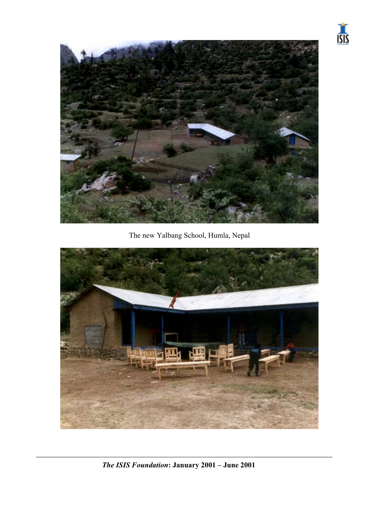



The new Yalbang School, Humla, Nepal



*The ISIS Foundation***: January 2001 – June 2001**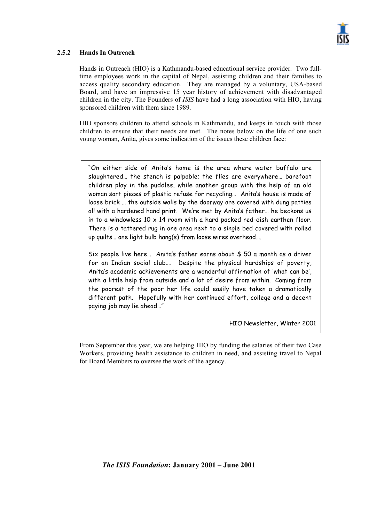

#### **2.5.2 Hands In Outreach**

Hands in Outreach (HIO) is a Kathmandu-based educational service provider. Two fulltime employees work in the capital of Nepal, assisting children and their families to access quality secondary education. They are managed by a voluntary, USA-based Board, and have an impressive 15 year history of achievement with disadvantaged children in the city. The Founders of *ISIS* have had a long association with HIO, having sponsored children with them since 1989.

HIO sponsors children to attend schools in Kathmandu, and keeps in touch with those children to ensure that their needs are met. The notes below on the life of one such young woman, Anita, gives some indication of the issues these children face:

"On either side of Anita's home is the area where water buffalo are slaughtered… the stench is palpable; the flies are everywhere… barefoot children play in the puddles, while another group with the help of an old woman sort pieces of plastic refuse for recycling… Anita's house is made of loose brick … the outside walls by the doorway are covered with dung patties all with a hardened hand print. We're met by Anita's father… he beckons us in to a windowless  $10 \times 14$  room with a hard packed red-dish earthen floor. There is a tattered rug in one area next to a single bed covered with rolled up quilts… one light bulb hang(s) from loose wires overhead….

Six people live here… Anita's father earns about \$ 50 a month as a driver for an Indian social club…. Despite the physical hardships of poverty, Anita's academic achievements are a wonderful affirmation of 'what can be', with a little help from outside and a lot of desire from within. Coming from the poorest of the poor her life could easily have taken a dramatically different path. Hopefully with her continued effort, college and a decent paying job may lie ahead…"

HIO Newsletter, Winter 2001

From September this year, we are helping HIO by funding the salaries of their two Case Workers, providing health assistance to children in need, and assisting travel to Nepal for Board Members to oversee the work of the agency.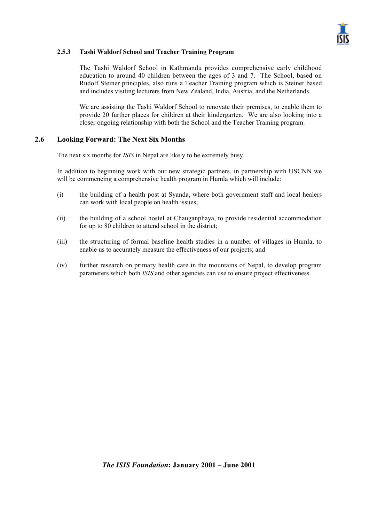

#### **2.5.3 Tashi Waldorf School and Teacher Training Program**

The Tashi Waldorf School in Kathmandu provides comprehensive early childhood education to around 40 children between the ages of 3 and 7. The School, based on Rudolf Steiner principles, also runs a Teacher Training program which is Steiner based and includes visiting lecturers from New Zealand, India, Austria, and the Netherlands.

We are assisting the Tashi Waldorf School to renovate their premises, to enable them to provide 20 further places for children at their kindergarten. We are also looking into a closer ongoing relationship with both the School and the Teacher Training program.

#### **2.6 Looking Forward: The Next Six Months**

The next six months for *ISIS* in Nepal are likely to be extremely busy.

In addition to beginning work with our new strategic partners, in partnership with USCNN we will be commencing a comprehensive health program in Humla which will include:

- (i) the building of a health post at Syanda, where both government staff and local healers can work with local people on health issues;
- (ii) the building of a school hostel at Chauganphaya, to provide residential accommodation for up to 80 children to attend school in the district;
- (iii) the structuring of formal baseline health studies in a number of villages in Humla, to enable us to accurately measure the effectiveness of our projects; and
- (iv) further research on primary health care in the mountains of Nepal, to develop program parameters which both *ISIS* and other agencies can use to ensure project effectiveness.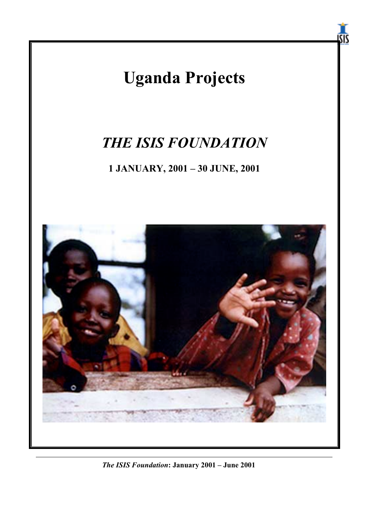

*The ISIS Foundation***: January 2001 – June 2001**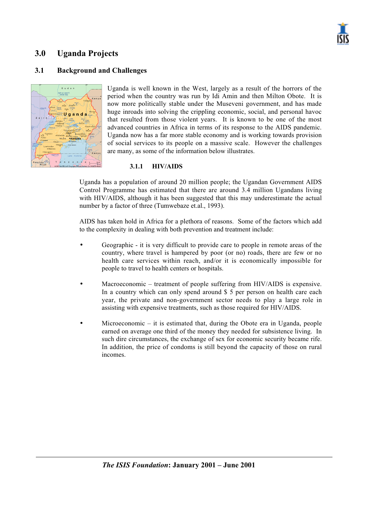

## **3.0 Uganda Projects**

#### **3.1 Background and Challenges**



Uganda is well known in the West, largely as a result of the horrors of the period when the country was run by Idi Amin and then Milton Obote. It is now more politically stable under the Museveni government, and has made huge inroads into solving the crippling economic, social, and personal havoc that resulted from those violent years. It is known to be one of the most advanced countries in Africa in terms of its response to the AIDS pandemic. Uganda now has a far more stable economy and is working towards provision of social services to its people on a massive scale. However the challenges are many, as some of the information below illustrates.

#### **3.1.1 HIV/AIDS**

Uganda has a population of around 20 million people; the Ugandan Government AIDS Control Programme has estimated that there are around 3.4 million Ugandans living with HIV/AIDS, although it has been suggested that this may underestimate the actual number by a factor of three (Tumwebaze et.al., 1993).

AIDS has taken hold in Africa for a plethora of reasons. Some of the factors which add to the complexity in dealing with both prevention and treatment include:

- Geographic it is very difficult to provide care to people in remote areas of the country, where travel is hampered by poor (or no) roads, there are few or no health care services within reach, and/or it is economically impossible for people to travel to health centers or hospitals.
- Macroeconomic treatment of people suffering from HIV/AIDS is expensive. In a country which can only spend around \$ 5 per person on health care each year, the private and non-government sector needs to play a large role in assisting with expensive treatments, such as those required for HIV/AIDS.
- Microeconomic it is estimated that, during the Obote era in Uganda, people earned on average one third of the money they needed for subsistence living. In such dire circumstances, the exchange of sex for economic security became rife. In addition, the price of condoms is still beyond the capacity of those on rural incomes.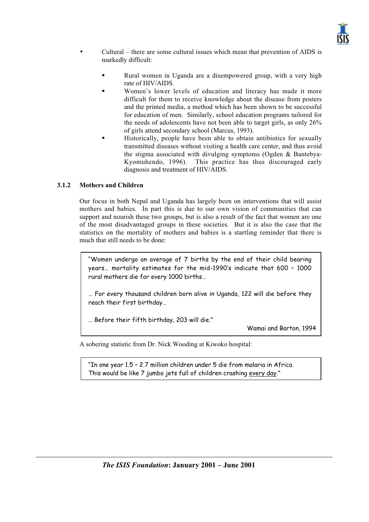

- Cultural there are some cultural issues which mean that prevention of AIDS is markedly difficult:
	- - Rural women in Uganda are a disempowered group, with a very high rate of HIV/AIDS.
	- - Women's lower levels of education and literacy has made it more difficult for them to receive knowledge about the disease from posters and the printed media, a method which has been shown to be successful for education of men. Similarly, school education programs tailored for the needs of adolescents have not been able to target girls, as only 26% of girls attend secondary school (Marcus, 1993).
	- - Historically, people have been able to obtain antibiotics for sexually transmitted diseases without visiting a health care center, and thus avoid the stigma associated with divulging symptoms (Ogden & Bantebya-Kyomuhendo, 1996). This practice has thus discouraged early diagnosis and treatment of HIV/AIDS.

#### **3.1.2 Mothers and Children**

Our focus in both Nepal and Uganda has largely been on interventions that will assist mothers and babies. In part this is due to our own vision of communities that can support and nourish these two groups, but is also a result of the fact that women are one of the most disadvantaged groups in these societies. But it is also the case that the statistics on the mortality of mothers and babies is a startling reminder that there is much that still needs to be done:

"Women undergo an average of 7 births by the end of their child bearing years… mortality estimates for the mid-1990's indicate that 600 – 1000 rural mothers die for every 1000 births…

… For every thousand children born alive in Uganda, 122 will die before they reach their first birthday…

… Before their fifth birthday, 203 will die."

Wamai and Barton, 1994

A sobering statistic from Dr. Nick Wooding at Kiwoko hospital:

"In one year 1.5 – 2.7 million children under 5 die from malaria in Africa. This would be like 7 jumbo jets full of children crashing every day."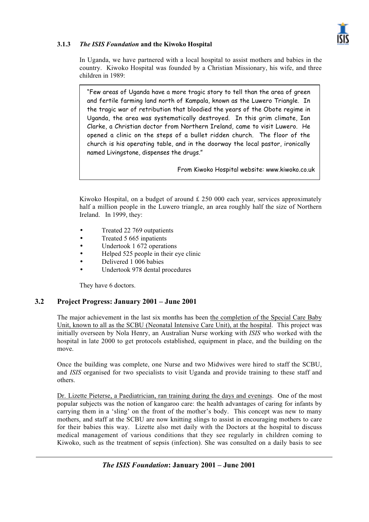

#### **3.1.3** *The ISIS Foundation* **and the Kiwoko Hospital**

In Uganda, we have partnered with a local hospital to assist mothers and babies in the country. Kiwoko Hospital was founded by a Christian Missionary, his wife, and three children in 1989:

"Few areas of Uganda have a more tragic story to tell than the area of green and fertile farming land north of Kampala, known as the Luwero Triangle. In the tragic war of retribution that bloodied the years of the Obote regime in Uganda, the area was systematically destroyed. In this grim climate, Ian Clarke, a Christian doctor from Northern Ireland, came to visit Luwero. He opened a clinic on the steps of a bullet ridden church. The floor of the church is his operating table, and in the doorway the local pastor, ironically named Livingstone, dispenses the drugs."

From Kiwoko Hospital website: www.kiwoko.co.uk

Kiwoko Hospital, on a budget of around  $\text{\pounds} 250\,000$  each year, services approximately half a million people in the Luwero triangle, an area roughly half the size of Northern Ireland. In 1999, they:

- Treated 22 769 outpatients
- Treated 5 665 inpatients
- Undertook 1 672 operations
- Helped 525 people in their eye clinic
- Delivered 1 006 babies
- Undertook 978 dental procedures

They have 6 doctors.

#### **3.2 Project Progress: January 2001 – June 2001**

The major achievement in the last six months has been the completion of the Special Care Baby Unit, known to all as the SCBU (Neonatal Intensive Care Unit), at the hospital. This project was initially overseen by Nola Henry, an Australian Nurse working with *ISIS* who worked with the hospital in late 2000 to get protocols established, equipment in place, and the building on the move.

Once the building was complete, one Nurse and two Midwives were hired to staff the SCBU, and *ISIS* organised for two specialists to visit Uganda and provide training to these staff and others.

Dr. Lizette Pieterse, a Paediatrician, ran training during the days and evenings. One of the most popular subjects was the notion of kangaroo care: the health advantages of caring for infants by carrying them in a 'sling' on the front of the mother's body. This concept was new to many mothers, and staff at the SCBU are now knitting slings to assist in encouraging mothers to care for their babies this way. Lizette also met daily with the Doctors at the hospital to discuss medical management of various conditions that they see regularly in children coming to Kiwoko, such as the treatment of sepsis (infection). She was consulted on a daily basis to see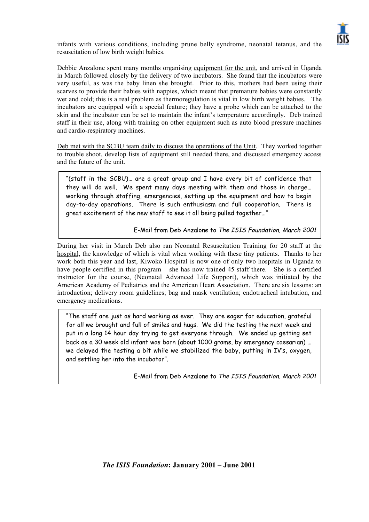

infants with various conditions, including prune belly syndrome, neonatal tetanus, and the resuscitation of low birth weight babies.

Debbie Anzalone spent many months organising equipment for the unit, and arrived in Uganda in March followed closely by the delivery of two incubators. She found that the incubators were very useful, as was the baby linen she brought. Prior to this, mothers had been using their scarves to provide their babies with nappies, which meant that premature babies were constantly wet and cold; this is a real problem as thermoregulation is vital in low birth weight babies. The incubators are equipped with a special feature; they have a probe which can be attached to the skin and the incubator can be set to maintain the infant's temperature accordingly. Deb trained staff in their use, along with training on other equipment such as auto blood pressure machines and cardio-respiratory machines.

Deb met with the SCBU team daily to discuss the operations of the Unit. They worked together to trouble shoot, develop lists of equipment still needed there, and discussed emergency access and the future of the unit.

"(staff in the SCBU)… are a great group and I have every bit of confidence that they will do well. We spent many days meeting with them and those in charge… working through staffing, emergencies, setting up the equipment and how to begin day-to-day operations. There is such enthusiasm and full cooperation. There is great excitement of the new staff to see it all being pulled together…"

E-Mail from Deb Anzalone to The ISIS Foundation, March 2001

During her visit in March Deb also ran Neonatal Resuscitation Training for 20 staff at the hospital, the knowledge of which is vital when working with these tiny patients. Thanks to her work both this year and last, Kiwoko Hospital is now one of only two hospitals in Uganda to have people certified in this program – she has now trained 45 staff there. She is a certified instructor for the course, (Neonatal Advanced Life Support), which was initiated by the American Academy of Pediatrics and the American Heart Association. There are six lessons: an introduction; delivery room guidelines; bag and mask ventilation; endotracheal intubation, and emergency medications.

"The staff are just as hard working as ever. They are eager for education, grateful for all we brought and full of smiles and hugs. We did the testing the next week and put in a long 14 hour day trying to get everyone through. We ended up getting set back as a 30 week old infant was born (about 1000 grams, by emergency caesarian) … we delayed the testing a bit while we stabilized the baby, putting in IV's, oxygen, and settling her into the incubator".

E-Mail from Deb Anzalone to The ISIS Foundation, March 2001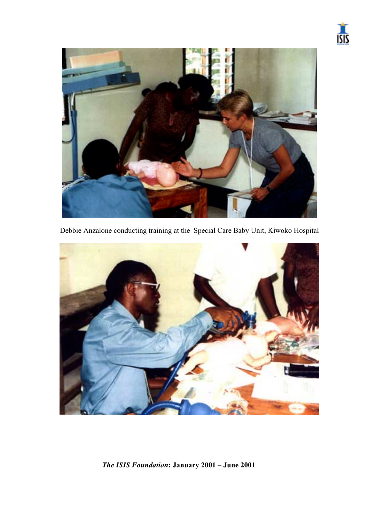



Debbie Anzalone conducting training at the Special Care Baby Unit, Kiwoko Hospital

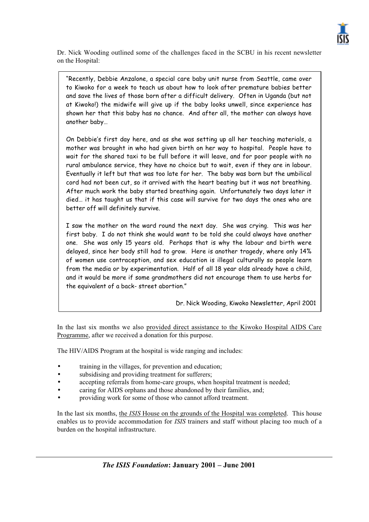

Dr. Nick Wooding outlined some of the challenges faced in the SCBU in his recent newsletter on the Hospital:

"Recently, Debbie Anzalone, a special care baby unit nurse from Seattle, came over to Kiwoko for a week to teach us about how to look after premature babies better and save the lives of those born after a difficult delivery. Often in Uganda (but not at Kiwoko!) the midwife will give up if the baby looks unwell, since experience has shown her that this baby has no chance. And after all, the mother can always have another baby…

On Debbie's first day here, and as she was setting up all her teaching materials, a mother was brought in who had given birth on her way to hospital. People have to wait for the shared taxi to be full before it will leave, and for poor people with no rural ambulance service, they have no choice but to wait, even if they are in labour. Eventually it left but that was too late for her. The baby was born but the umbilical cord had not been cut, so it arrived with the heart beating but it was not breathing. After much work the baby started breathing again. Unfortunately two days later it died… it has taught us that if this case will survive for two days the ones who are better off will definitely survive.

I saw the mother on the ward round the next day. She was crying. This was her first baby. I do not think she would want to be told she could always have another one. She was only 15 years old. Perhaps that is why the labour and birth were delayed, since her body still had to grow. Here is another tragedy, where only 14% of women use contraception, and sex education is illegal culturally so people learn from the media or by experimentation. Half of all 18 year olds already have a child, and it would be more if some grandmothers did not encourage them to use herbs for the equivalent of a back- street abortion."

Dr. Nick Wooding, Kiwoko Newsletter, April 2001

In the last six months we also provided direct assistance to the Kiwoko Hospital AIDS Care Programme, after we received a donation for this purpose.

The HIV/AIDS Program at the hospital is wide ranging and includes:

- training in the villages, for prevention and education;
- subsidising and providing treatment for sufferers;
- accepting referrals from home-care groups, when hospital treatment is needed;
- caring for AIDS orphans and those abandoned by their families, and;
- providing work for some of those who cannot afford treatment.

In the last six months, the *ISIS* House on the grounds of the Hospital was completed. This house enables us to provide accommodation for *ISIS* trainers and staff without placing too much of a burden on the hospital infrastructure.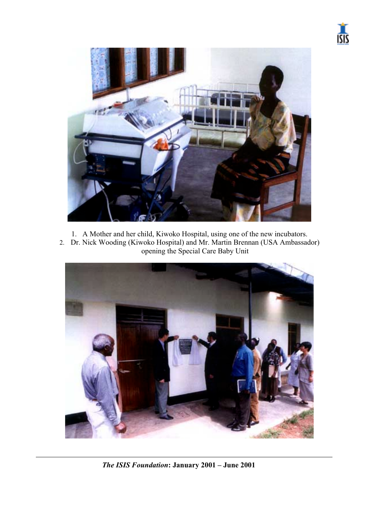



- 1. A Mother and her child, Kiwoko Hospital, using one of the new incubators.
- 2. Dr. Nick Wooding (Kiwoko Hospital) and Mr. Martin Brennan (USA Ambassador) opening the Special Care Baby Unit



*The ISIS Foundation***: January 2001 – June 2001**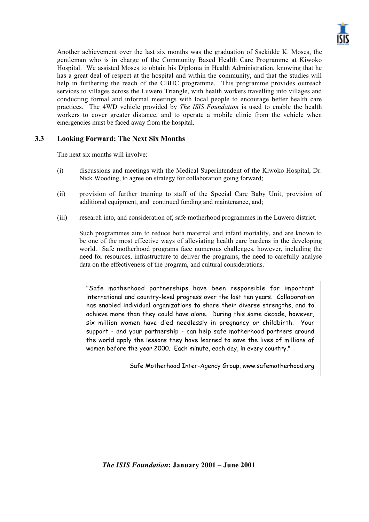

Another achievement over the last six months was the graduation of Ssekidde K. Moses, the gentleman who is in charge of the Community Based Health Care Programme at Kiwoko Hospital. We assisted Moses to obtain his Diploma in Health Administration, knowing that he has a great deal of respect at the hospital and within the community, and that the studies will help in furthering the reach of the CBHC programme. This programme provides outreach services to villages across the Luwero Triangle, with health workers travelling into villages and conducting formal and informal meetings with local people to encourage better health care practices. The 4WD vehicle provided by *The ISIS Foundation* is used to enable the health workers to cover greater distance, and to operate a mobile clinic from the vehicle when emergencies must be faced away from the hospital.

#### **3.3 Looking Forward: The Next Six Months**

The next six months will involve:

- (i) discussions and meetings with the Medical Superintendent of the Kiwoko Hospital, Dr. Nick Wooding, to agree on strategy for collaboration going forward;
- (ii) provision of further training to staff of the Special Care Baby Unit, provision of additional equipment, and continued funding and maintenance, and;
- (iii) research into, and consideration of, safe motherhood programmes in the Luwero district.

Such programmes aim to reduce both maternal and infant mortality, and are known to be one of the most effective ways of alleviating health care burdens in the developing world. Safe motherhood programs face numerous challenges, however, including the need for resources, infrastructure to deliver the programs, the need to carefully analyse data on the effectiveness of the program, and cultural considerations.

"Safe motherhood partnerships have been responsible for important international and country-level progress over the last ten years. Collaboration has enabled individual organizations to share their diverse strengths, and to achieve more than they could have alone. During this same decade, however, six million women have died needlessly in pregnancy or childbirth. Your support - and your partnership - can help safe motherhood partners around the world apply the lessons they have learned to save the lives of millions of women before the year 2000. Each minute, each day, in every country."

Safe Motherhood Inter-Agency Group, www.safemotherhood.org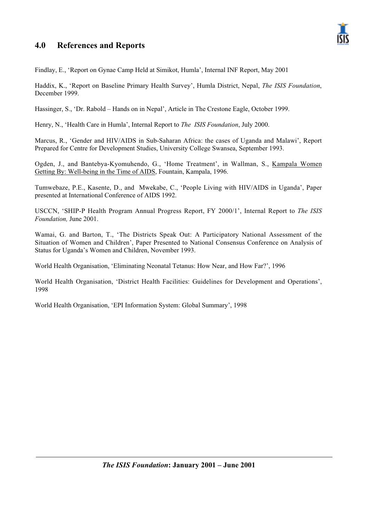## **4.0 References and Reports**



Findlay, E., 'Report on Gynae Camp Held at Simikot, Humla', Internal INF Report, May 2001

Haddix, K., 'Report on Baseline Primary Health Survey', Humla District, Nepal, *The ISIS Foundation*, December 1999.

Hassinger, S., 'Dr. Rabold – Hands on in Nepal', Article in The Crestone Eagle, October 1999.

Henry, N., 'Health Care in Humla', Internal Report to *The ISIS Foundation*, July 2000.

Marcus, R., 'Gender and HIV/AIDS in Sub-Saharan Africa: the cases of Uganda and Malawi', Report Prepared for Centre for Development Studies, University College Swansea, September 1993.

Ogden, J., and Bantebya-Kyomuhendo, G., 'Home Treatment', in Wallman, S., Kampala Women Getting By: Well-being in the Time of AIDS, Fountain, Kampala, 1996.

Tumwebaze, P.E., Kasente, D., and Mwekabe, C., 'People Living with HIV/AIDS in Uganda', Paper presented at International Conference of AIDS 1992.

USCCN, 'SHIP-P Health Program Annual Progress Report, FY 2000/1', Internal Report to *The ISIS Foundation,* June 2001.

Wamai, G. and Barton, T., 'The Districts Speak Out: A Participatory National Assessment of the Situation of Women and Children', Paper Presented to National Consensus Conference on Analysis of Status for Uganda's Women and Children, November 1993.

World Health Organisation, 'Eliminating Neonatal Tetanus: How Near, and How Far?', 1996

World Health Organisation, 'District Health Facilities: Guidelines for Development and Operations', 1998

World Health Organisation, 'EPI Information System: Global Summary', 1998